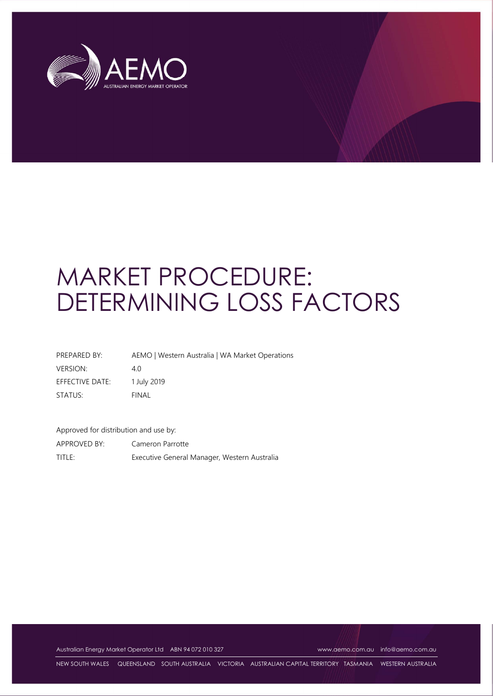

# MARKET PROCEDURE: DETERMINING LOSS FACTORS

| PREPARED BY:    | AEMO   Western Australia   WA Market Operations |
|-----------------|-------------------------------------------------|
| <b>VERSION:</b> | 40                                              |
| EFFECTIVE DATE: | 1 July 2019                                     |
| STATUS:         | FINAL                                           |

Approved for distribution and use by:

APPROVED BY: Cameron Parrotte TITLE: Executive General Manager, Western Australia

Australian Energy Market Operator Ltd ABN 94 072 010 327 www.aemo.com.au info@aemo.com.au

NEW SOUTH WALES QUEENSLAND SOUTH AUSTRALIA VICTORIA AUSTRALIAN CAPITAL TERRITORY TASMANIA WESTERN AUSTRALIA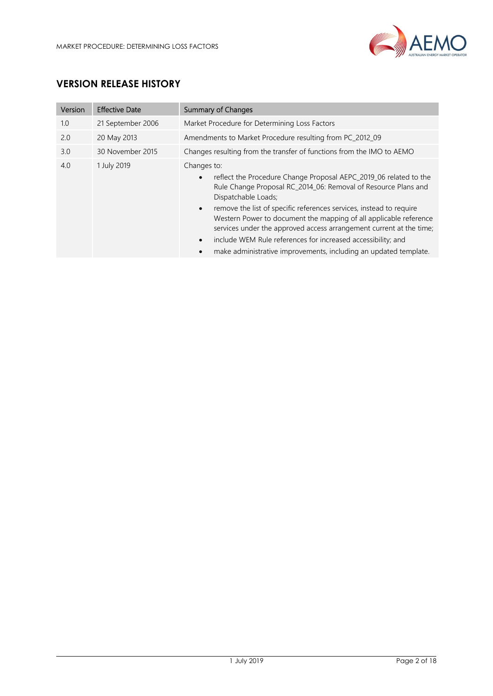

# VERSION RELEASE HISTORY

| Version | <b>Effective Date</b> | <b>Summary of Changes</b>                                                                                                                                                                                                                                                                                                                                                                                                                                                                                                                                                    |
|---------|-----------------------|------------------------------------------------------------------------------------------------------------------------------------------------------------------------------------------------------------------------------------------------------------------------------------------------------------------------------------------------------------------------------------------------------------------------------------------------------------------------------------------------------------------------------------------------------------------------------|
| 1.0     | 21 September 2006     | Market Procedure for Determining Loss Factors                                                                                                                                                                                                                                                                                                                                                                                                                                                                                                                                |
| 2.0     | 20 May 2013           | Amendments to Market Procedure resulting from PC_2012_09                                                                                                                                                                                                                                                                                                                                                                                                                                                                                                                     |
| 3.0     | 30 November 2015      | Changes resulting from the transfer of functions from the IMO to AEMO                                                                                                                                                                                                                                                                                                                                                                                                                                                                                                        |
| 4.0     | 1 July 2019           | Changes to:<br>reflect the Procedure Change Proposal AEPC_2019_06 related to the<br>$\bullet$<br>Rule Change Proposal RC_2014_06: Removal of Resource Plans and<br>Dispatchable Loads;<br>remove the list of specific references services, instead to require<br>$\bullet$<br>Western Power to document the mapping of all applicable reference<br>services under the approved access arrangement current at the time;<br>include WEM Rule references for increased accessibility; and<br>$\bullet$<br>make administrative improvements, including an updated template.<br>٠ |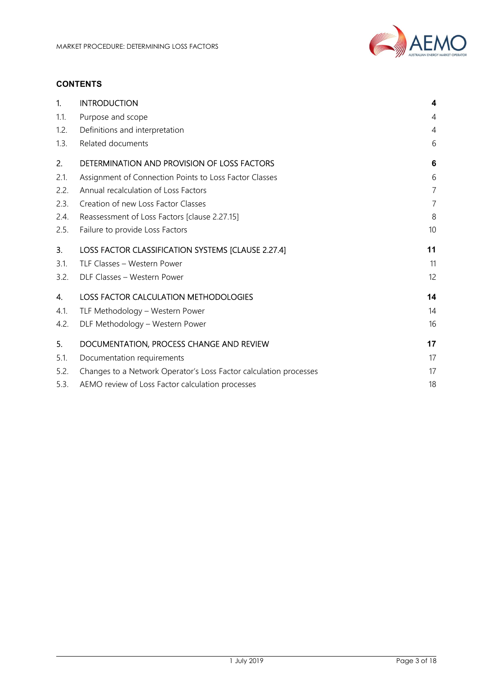

#### **CONTENTS**

| 1.   | <b>INTRODUCTION</b>                                               | 4              |  |
|------|-------------------------------------------------------------------|----------------|--|
| 1.1. | Purpose and scope                                                 |                |  |
| 1.2. | Definitions and interpretation                                    |                |  |
| 1.3. | Related documents                                                 | 6              |  |
| 2.   | DETERMINATION AND PROVISION OF LOSS FACTORS                       | 6              |  |
| 2.1. | Assignment of Connection Points to Loss Factor Classes            | 6              |  |
| 2.2. | Annual recalculation of Loss Factors                              | $\overline{7}$ |  |
| 2.3. | Creation of new Loss Factor Classes                               | $\overline{7}$ |  |
| 2.4. | Reassessment of Loss Factors [clause 2.27.15]                     | 8              |  |
| 2.5. | Failure to provide Loss Factors                                   | 10             |  |
| 3.   | LOSS FACTOR CLASSIFICATION SYSTEMS [CLAUSE 2.27.4]                | 11             |  |
| 3.1. | TLF Classes - Western Power                                       | 11             |  |
| 3.2. | DLF Classes - Western Power                                       | 12             |  |
| 4.   | <b>LOSS FACTOR CALCULATION METHODOLOGIES</b>                      | 14             |  |
| 4.1. | TLF Methodology - Western Power                                   | 14             |  |
| 4.2. | DLF Methodology - Western Power                                   | 16             |  |
| 5.   | DOCUMENTATION, PROCESS CHANGE AND REVIEW                          | 17             |  |
| 5.1. | Documentation requirements                                        | 17             |  |
| 5.2. | Changes to a Network Operator's Loss Factor calculation processes | 17             |  |
| 5.3. | AEMO review of Loss Factor calculation processes                  | 18             |  |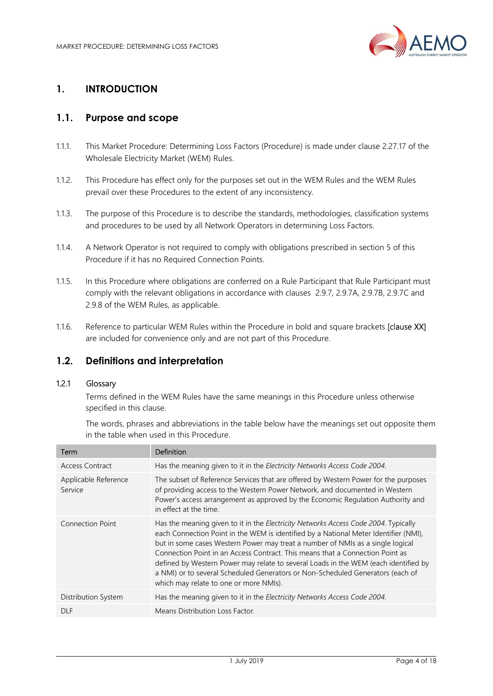

# 1. INTRODUCTION

# 1.1. Purpose and scope

- 1.1.1. This Market Procedure: Determining Loss Factors (Procedure) is made under clause 2.27.17 of the Wholesale Electricity Market (WEM) Rules.
- 1.1.2. This Procedure has effect only for the purposes set out in the WEM Rules and the WEM Rules prevail over these Procedures to the extent of any inconsistency.
- 1.1.3. The purpose of this Procedure is to describe the standards, methodologies, classification systems and procedures to be used by all Network Operators in determining Loss Factors.
- 1.1.4. A Network Operator is not required to comply with obligations prescribed in section 5 of this Procedure if it has no Required Connection Points.
- 1.1.5. In this Procedure where obligations are conferred on a Rule Participant that Rule Participant must comply with the relevant obligations in accordance with clauses 2.9.7, 2.9.7A, 2.9.7B, 2.9.7C and 2.9.8 of the WEM Rules, as applicable.
- 1.1.6. Reference to particular WEM Rules within the Procedure in bold and square brackets [clause XX] are included for convenience only and are not part of this Procedure.

# 1.2. Definitions and interpretation

#### 1.2.1 Glossary

Terms defined in the WEM Rules have the same meanings in this Procedure unless otherwise specified in this clause.

The words, phrases and abbreviations in the table below have the meanings set out opposite them in the table when used in this Procedure.

| Term                            | Definition                                                                                                                                                                                                                                                                                                                                                                                                                                                                                                                                                        |
|---------------------------------|-------------------------------------------------------------------------------------------------------------------------------------------------------------------------------------------------------------------------------------------------------------------------------------------------------------------------------------------------------------------------------------------------------------------------------------------------------------------------------------------------------------------------------------------------------------------|
| Access Contract                 | Has the meaning given to it in the Electricity Networks Access Code 2004.                                                                                                                                                                                                                                                                                                                                                                                                                                                                                         |
| Applicable Reference<br>Service | The subset of Reference Services that are offered by Western Power for the purposes<br>of providing access to the Western Power Network, and documented in Western<br>Power's access arrangement as approved by the Economic Regulation Authority and<br>in effect at the time.                                                                                                                                                                                                                                                                                   |
| Connection Point                | Has the meaning given to it in the Electricity Networks Access Code 2004. Typically<br>each Connection Point in the WEM is identified by a National Meter Identifier (NMI),<br>but in some cases Western Power may treat a number of NMIs as a single logical<br>Connection Point in an Access Contract. This means that a Connection Point as<br>defined by Western Power may relate to several Loads in the WEM (each identified by<br>a NMI) or to several Scheduled Generators or Non-Scheduled Generators (each of<br>which may relate to one or more NMIs). |
| Distribution System             | Has the meaning given to it in the Electricity Networks Access Code 2004.                                                                                                                                                                                                                                                                                                                                                                                                                                                                                         |
| DI F                            | Means Distribution Loss Factor.                                                                                                                                                                                                                                                                                                                                                                                                                                                                                                                                   |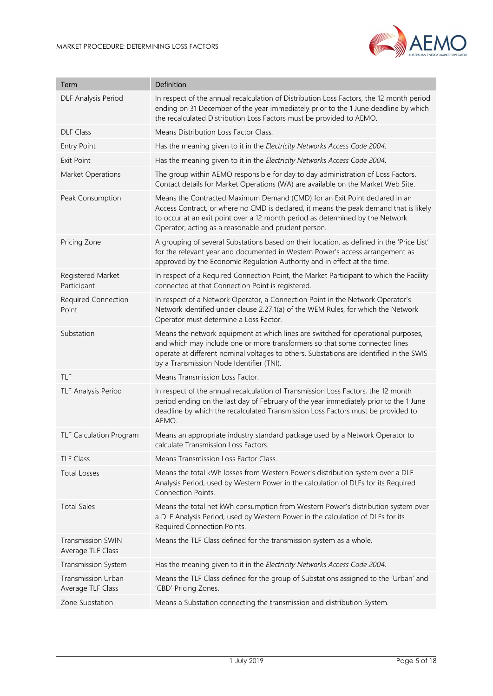

| Term                                           | Definition                                                                                                                                                                                                                                                                                                   |
|------------------------------------------------|--------------------------------------------------------------------------------------------------------------------------------------------------------------------------------------------------------------------------------------------------------------------------------------------------------------|
| DLF Analysis Period                            | In respect of the annual recalculation of Distribution Loss Factors, the 12 month period<br>ending on 31 December of the year immediately prior to the 1 June deadline by which<br>the recalculated Distribution Loss Factors must be provided to AEMO.                                                      |
| <b>DLF Class</b>                               | Means Distribution Loss Factor Class.                                                                                                                                                                                                                                                                        |
| <b>Entry Point</b>                             | Has the meaning given to it in the Electricity Networks Access Code 2004.                                                                                                                                                                                                                                    |
| <b>Exit Point</b>                              | Has the meaning given to it in the Electricity Networks Access Code 2004.                                                                                                                                                                                                                                    |
| Market Operations                              | The group within AEMO responsible for day to day administration of Loss Factors.<br>Contact details for Market Operations (WA) are available on the Market Web Site.                                                                                                                                         |
| Peak Consumption                               | Means the Contracted Maximum Demand (CMD) for an Exit Point declared in an<br>Access Contract, or where no CMD is declared, it means the peak demand that is likely<br>to occur at an exit point over a 12 month period as determined by the Network<br>Operator, acting as a reasonable and prudent person. |
| Pricing Zone                                   | A grouping of several Substations based on their location, as defined in the 'Price List'<br>for the relevant year and documented in Western Power's access arrangement as<br>approved by the Economic Regulation Authority and in effect at the time.                                                       |
| Registered Market<br>Participant               | In respect of a Required Connection Point, the Market Participant to which the Facility<br>connected at that Connection Point is registered.                                                                                                                                                                 |
| Required Connection<br>Point                   | In respect of a Network Operator, a Connection Point in the Network Operator's<br>Network identified under clause 2.27.1(a) of the WEM Rules, for which the Network<br>Operator must determine a Loss Factor.                                                                                                |
| Substation                                     | Means the network equipment at which lines are switched for operational purposes,<br>and which may include one or more transformers so that some connected lines<br>operate at different nominal voltages to others. Substations are identified in the SWIS<br>by a Transmission Node Identifier (TNI).      |
| TLF                                            | Means Transmission Loss Factor.                                                                                                                                                                                                                                                                              |
| <b>TLF Analysis Period</b>                     | In respect of the annual recalculation of Transmission Loss Factors, the 12 month<br>period ending on the last day of February of the year immediately prior to the 1 June<br>deadline by which the recalculated Transmission Loss Factors must be provided to<br>AEMO.                                      |
| <b>TLF Calculation Program</b>                 | Means an appropriate industry standard package used by a Network Operator to<br>calculate Transmission Loss Factors.                                                                                                                                                                                         |
| <b>TLF Class</b>                               | Means Transmission Loss Factor Class.                                                                                                                                                                                                                                                                        |
| <b>Total Losses</b>                            | Means the total kWh losses from Western Power's distribution system over a DLF<br>Analysis Period, used by Western Power in the calculation of DLFs for its Required<br>Connection Points.                                                                                                                   |
| <b>Total Sales</b>                             | Means the total net kWh consumption from Western Power's distribution system over<br>a DLF Analysis Period, used by Western Power in the calculation of DLFs for its<br>Required Connection Points.                                                                                                          |
| <b>Transmission SWIN</b><br>Average TLF Class  | Means the TLF Class defined for the transmission system as a whole.                                                                                                                                                                                                                                          |
| Transmission System                            | Has the meaning given to it in the Electricity Networks Access Code 2004.                                                                                                                                                                                                                                    |
| <b>Transmission Urban</b><br>Average TLF Class | Means the TLF Class defined for the group of Substations assigned to the 'Urban' and<br>'CBD' Pricing Zones.                                                                                                                                                                                                 |
| Zone Substation                                | Means a Substation connecting the transmission and distribution System.                                                                                                                                                                                                                                      |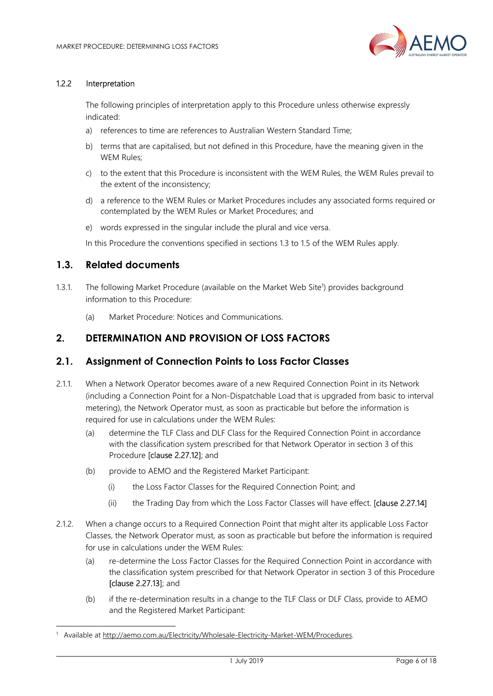

#### 1.2.2 Interpretation

The following principles of interpretation apply to this Procedure unless otherwise expressly indicated:

- a) references to time are references to Australian Western Standard Time;
- b) terms that are capitalised, but not defined in this Procedure, have the meaning given in the WEM Rules;
- c) to the extent that this Procedure is inconsistent with the WEM Rules, the WEM Rules prevail to the extent of the inconsistency;
- d) a reference to the WEM Rules or Market Procedures includes any associated forms required or contemplated by the WEM Rules or Market Procedures; and
- e) words expressed in the singular include the plural and vice versa.

In this Procedure the conventions specified in sections 1.3 to 1.5 of the WEM Rules apply.

#### 1.3. Related documents

-

- 1.3.1. The following Market Procedure (available on the Market Web Site<sup>1</sup>) provides background information to this Procedure:
	- (a) Market Procedure: Notices and Communications.

## 2. DETERMINATION AND PROVISION OF LOSS FACTORS

## 2.1. Assignment of Connection Points to Loss Factor Classes

- 2.1.1. When a Network Operator becomes aware of a new Required Connection Point in its Network (including a Connection Point for a Non-Dispatchable Load that is upgraded from basic to interval metering), the Network Operator must, as soon as practicable but before the information is required for use in calculations under the WEM Rules:
	- (a) determine the TLF Class and DLF Class for the Required Connection Point in accordance with the classification system prescribed for that Network Operator in section 3 of this Procedure [clause 2.27.12]; and
	- (b) provide to AEMO and the Registered Market Participant:
		- (i) the Loss Factor Classes for the Required Connection Point; and
		- (ii) the Trading Day from which the Loss Factor Classes will have effect. **Iclause 2.27.141**
- 2.1.2. When a change occurs to a Required Connection Point that might alter its applicable Loss Factor Classes, the Network Operator must, as soon as practicable but before the information is required for use in calculations under the WEM Rules:
	- (a) re-determine the Loss Factor Classes for the Required Connection Point in accordance with the classification system prescribed for that Network Operator in section 3 of this Procedure [clause 2.27.13]; and
	- (b) if the re-determination results in a change to the TLF Class or DLF Class, provide to AEMO and the Registered Market Participant:

<sup>&</sup>lt;sup>1</sup> Available at http://aemo.com.au/Electricity/Wholesale-Electricity-Market-WEM/Procedures.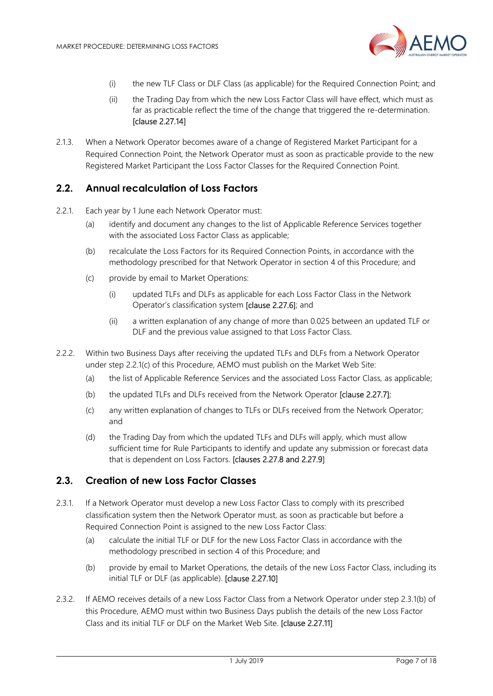

- (i) the new TLF Class or DLF Class (as applicable) for the Required Connection Point; and
- (ii) the Trading Day from which the new Loss Factor Class will have effect, which must as far as practicable reflect the time of the change that triggered the re-determination. [clause 2.27.14]
- 2.1.3. When a Network Operator becomes aware of a change of Registered Market Participant for a Required Connection Point, the Network Operator must as soon as practicable provide to the new Registered Market Participant the Loss Factor Classes for the Required Connection Point.

#### 2.2. Annual recalculation of Loss Factors

- 2.2.1. Each year by 1 June each Network Operator must:
	- (a) identify and document any changes to the list of Applicable Reference Services together with the associated Loss Factor Class as applicable;
	- (b) recalculate the Loss Factors for its Required Connection Points, in accordance with the methodology prescribed for that Network Operator in section 4 of this Procedure; and
	- (c) provide by email to Market Operations:
		- (i) updated TLFs and DLFs as applicable for each Loss Factor Class in the Network Operator's classification system [clause 2.27.6]; and
		- (ii) a written explanation of any change of more than 0.025 between an updated TLF or DLF and the previous value assigned to that Loss Factor Class.
- 2.2.2. Within two Business Days after receiving the updated TLFs and DLFs from a Network Operator under step 2.2.1(c) of this Procedure, AEMO must publish on the Market Web Site:
	- (a) the list of Applicable Reference Services and the associated Loss Factor Class, as applicable;
	- (b) the updated TLFs and DLFs received from the Network Operator [clause 2.27.7];
	- (c) any written explanation of changes to TLFs or DLFs received from the Network Operator; and
	- (d) the Trading Day from which the updated TLFs and DLFs will apply, which must allow sufficient time for Rule Participants to identify and update any submission or forecast data that is dependent on Loss Factors. [clauses 2.27.8 and 2.27.9]

#### 2.3. Creation of new Loss Factor Classes

- 2.3.1. If a Network Operator must develop a new Loss Factor Class to comply with its prescribed classification system then the Network Operator must, as soon as practicable but before a Required Connection Point is assigned to the new Loss Factor Class:
	- (a) calculate the initial TLF or DLF for the new Loss Factor Class in accordance with the methodology prescribed in section 4 of this Procedure; and
	- (b) provide by email to Market Operations, the details of the new Loss Factor Class, including its initial TLF or DLF (as applicable). [clause 2.27.10]
- 2.3.2. If AEMO receives details of a new Loss Factor Class from a Network Operator under step 2.3.1(b) of this Procedure, AEMO must within two Business Days publish the details of the new Loss Factor Class and its initial TLF or DLF on the Market Web Site. [clause 2.27.11]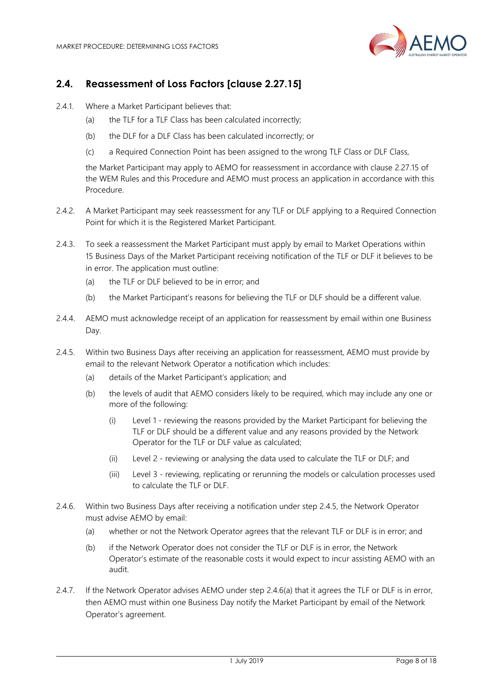

# 2.4. Reassessment of Loss Factors [clause 2.27.15]

- 2.4.1. Where a Market Participant believes that:
	- (a) the TLF for a TLF Class has been calculated incorrectly;
	- (b) the DLF for a DLF Class has been calculated incorrectly; or
	- (c) a Required Connection Point has been assigned to the wrong TLF Class or DLF Class,

the Market Participant may apply to AEMO for reassessment in accordance with clause 2.27.15 of the WEM Rules and this Procedure and AEMO must process an application in accordance with this Procedure.

- 2.4.2. A Market Participant may seek reassessment for any TLF or DLF applying to a Required Connection Point for which it is the Registered Market Participant.
- 2.4.3. To seek a reassessment the Market Participant must apply by email to Market Operations within 15 Business Days of the Market Participant receiving notification of the TLF or DLF it believes to be in error. The application must outline:
	- (a) the TLF or DLF believed to be in error; and
	- (b) the Market Participant's reasons for believing the TLF or DLF should be a different value.
- 2.4.4. AEMO must acknowledge receipt of an application for reassessment by email within one Business Day.
- 2.4.5. Within two Business Days after receiving an application for reassessment, AEMO must provide by email to the relevant Network Operator a notification which includes:
	- (a) details of the Market Participant's application; and
	- (b) the levels of audit that AEMO considers likely to be required, which may include any one or more of the following:
		- (i) Level 1 reviewing the reasons provided by the Market Participant for believing the TLF or DLF should be a different value and any reasons provided by the Network Operator for the TLF or DLF value as calculated;
		- (ii) Level 2 reviewing or analysing the data used to calculate the TLF or DLF; and
		- (iii) Level 3 reviewing, replicating or rerunning the models or calculation processes used to calculate the TLF or DLF.
- 2.4.6. Within two Business Days after receiving a notification under step 2.4.5, the Network Operator must advise AEMO by email:
	- (a) whether or not the Network Operator agrees that the relevant TLF or DLF is in error; and
	- (b) if the Network Operator does not consider the TLF or DLF is in error, the Network Operator's estimate of the reasonable costs it would expect to incur assisting AEMO with an audit.
- 2.4.7. If the Network Operator advises AEMO under step 2.4.6(a) that it agrees the TLF or DLF is in error, then AEMO must within one Business Day notify the Market Participant by email of the Network Operator's agreement.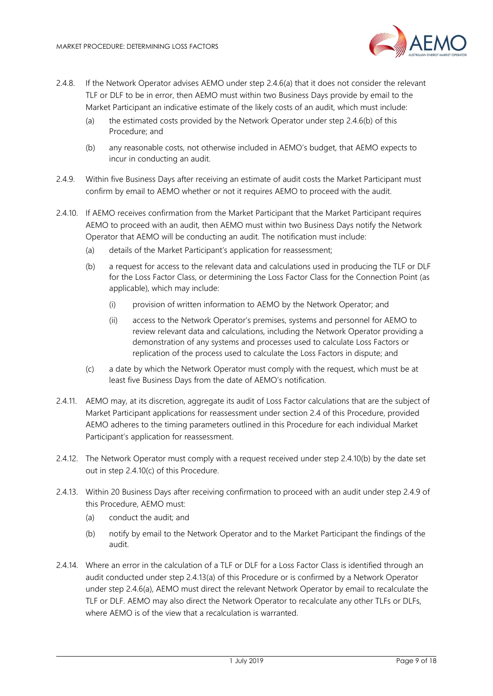

- 2.4.8. If the Network Operator advises AEMO under step 2.4.6(a) that it does not consider the relevant TLF or DLF to be in error, then AEMO must within two Business Days provide by email to the Market Participant an indicative estimate of the likely costs of an audit, which must include:
	- (a) the estimated costs provided by the Network Operator under step 2.4.6(b) of this Procedure; and
	- (b) any reasonable costs, not otherwise included in AEMO's budget, that AEMO expects to incur in conducting an audit.
- 2.4.9. Within five Business Days after receiving an estimate of audit costs the Market Participant must confirm by email to AEMO whether or not it requires AEMO to proceed with the audit.
- 2.4.10. If AEMO receives confirmation from the Market Participant that the Market Participant requires AEMO to proceed with an audit, then AEMO must within two Business Days notify the Network Operator that AEMO will be conducting an audit. The notification must include:
	- (a) details of the Market Participant's application for reassessment;
	- (b) a request for access to the relevant data and calculations used in producing the TLF or DLF for the Loss Factor Class, or determining the Loss Factor Class for the Connection Point (as applicable), which may include:
		- (i) provision of written information to AEMO by the Network Operator; and
		- (ii) access to the Network Operator's premises, systems and personnel for AEMO to review relevant data and calculations, including the Network Operator providing a demonstration of any systems and processes used to calculate Loss Factors or replication of the process used to calculate the Loss Factors in dispute; and
	- (c) a date by which the Network Operator must comply with the request, which must be at least five Business Days from the date of AEMO's notification.
- 2.4.11. AEMO may, at its discretion, aggregate its audit of Loss Factor calculations that are the subject of Market Participant applications for reassessment under section 2.4 of this Procedure, provided AEMO adheres to the timing parameters outlined in this Procedure for each individual Market Participant's application for reassessment.
- 2.4.12. The Network Operator must comply with a request received under step 2.4.10(b) by the date set out in step 2.4.10(c) of this Procedure.
- 2.4.13. Within 20 Business Days after receiving confirmation to proceed with an audit under step 2.4.9 of this Procedure, AEMO must:
	- (a) conduct the audit; and
	- (b) notify by email to the Network Operator and to the Market Participant the findings of the audit.
- 2.4.14. Where an error in the calculation of a TLF or DLF for a Loss Factor Class is identified through an audit conducted under step 2.4.13(a) of this Procedure or is confirmed by a Network Operator under step 2.4.6(a), AEMO must direct the relevant Network Operator by email to recalculate the TLF or DLF. AEMO may also direct the Network Operator to recalculate any other TLFs or DLFs, where AFMO is of the view that a recalculation is warranted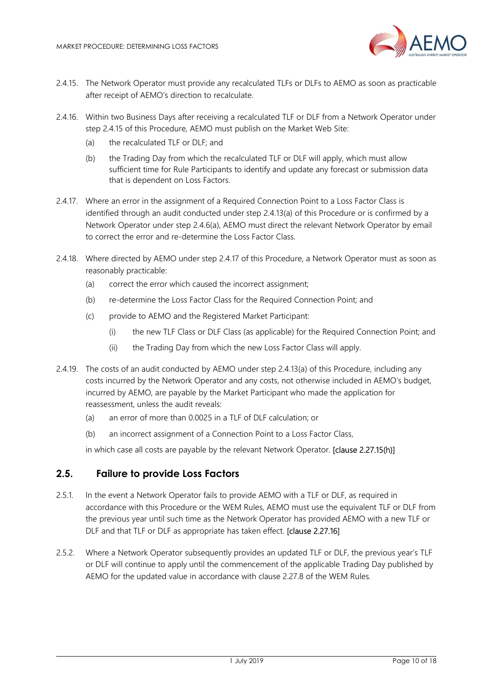

- 2.4.15. The Network Operator must provide any recalculated TLFs or DLFs to AEMO as soon as practicable after receipt of AEMO's direction to recalculate.
- 2.4.16. Within two Business Days after receiving a recalculated TLF or DLF from a Network Operator under step 2.4.15 of this Procedure, AEMO must publish on the Market Web Site:
	- (a) the recalculated TLF or DLF; and
	- (b) the Trading Day from which the recalculated TLF or DLF will apply, which must allow sufficient time for Rule Participants to identify and update any forecast or submission data that is dependent on Loss Factors.
- 2.4.17. Where an error in the assignment of a Required Connection Point to a Loss Factor Class is identified through an audit conducted under step 2.4.13(a) of this Procedure or is confirmed by a Network Operator under step 2.4.6(a), AEMO must direct the relevant Network Operator by email to correct the error and re-determine the Loss Factor Class.
- 2.4.18. Where directed by AEMO under step 2.4.17 of this Procedure, a Network Operator must as soon as reasonably practicable:
	- (a) correct the error which caused the incorrect assignment;
	- (b) re-determine the Loss Factor Class for the Required Connection Point; and
	- (c) provide to AEMO and the Registered Market Participant:
		- (i) the new TLF Class or DLF Class (as applicable) for the Required Connection Point; and
		- (ii) the Trading Day from which the new Loss Factor Class will apply.
- 2.4.19. The costs of an audit conducted by AEMO under step 2.4.13(a) of this Procedure, including any costs incurred by the Network Operator and any costs, not otherwise included in AEMO's budget, incurred by AEMO, are payable by the Market Participant who made the application for reassessment, unless the audit reveals:
	- (a) an error of more than 0.0025 in a TLF of DLF calculation; or
	- (b) an incorrect assignment of a Connection Point to a Loss Factor Class,

in which case all costs are payable by the relevant Network Operator. **[clause 2.27.15(h)]** 

## 2.5. Failure to provide Loss Factors

- 2.5.1. In the event a Network Operator fails to provide AEMO with a TLF or DLF, as required in accordance with this Procedure or the WEM Rules, AEMO must use the equivalent TLF or DLF from the previous year until such time as the Network Operator has provided AEMO with a new TLF or DLF and that TLF or DLF as appropriate has taken effect. **Iclause 2.27.161**
- 2.5.2. Where a Network Operator subsequently provides an updated TLF or DLF, the previous year's TLF or DLF will continue to apply until the commencement of the applicable Trading Day published by AEMO for the updated value in accordance with clause 2.27.8 of the WEM Rules.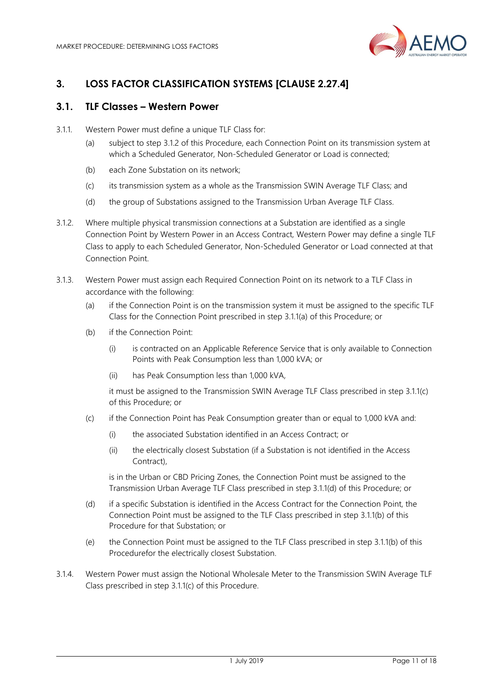

# 3. LOSS FACTOR CLASSIFICATION SYSTEMS [CLAUSE 2.27.4]

# 3.1. TLF Classes – Western Power

- 3.1.1. Western Power must define a unique TLF Class for:
	- (a) subject to step 3.1.2 of this Procedure, each Connection Point on its transmission system at which a Scheduled Generator, Non-Scheduled Generator or Load is connected;
	- (b) each Zone Substation on its network;
	- (c) its transmission system as a whole as the Transmission SWIN Average TLF Class; and
	- (d) the group of Substations assigned to the Transmission Urban Average TLF Class.
- 3.1.2. Where multiple physical transmission connections at a Substation are identified as a single Connection Point by Western Power in an Access Contract, Western Power may define a single TLF Class to apply to each Scheduled Generator, Non-Scheduled Generator or Load connected at that Connection Point.
- 3.1.3. Western Power must assign each Required Connection Point on its network to a TLF Class in accordance with the following:
	- (a) if the Connection Point is on the transmission system it must be assigned to the specific TLF Class for the Connection Point prescribed in step 3.1.1(a) of this Procedure; or
	- (b) if the Connection Point:
		- (i) is contracted on an Applicable Reference Service that is only available to Connection Points with Peak Consumption less than 1,000 kVA; or
		- (ii) has Peak Consumption less than 1,000 kVA,

it must be assigned to the Transmission SWIN Average TLF Class prescribed in step 3.1.1(c) of this Procedure; or

- (c) if the Connection Point has Peak Consumption greater than or equal to 1,000 kVA and:
	- (i) the associated Substation identified in an Access Contract; or
	- (ii) the electrically closest Substation (if a Substation is not identified in the Access Contract),

is in the Urban or CBD Pricing Zones, the Connection Point must be assigned to the Transmission Urban Average TLF Class prescribed in step 3.1.1(d) of this Procedure; or

- (d) if a specific Substation is identified in the Access Contract for the Connection Point, the Connection Point must be assigned to the TLF Class prescribed in step 3.1.1(b) of this Procedure for that Substation; or
- (e) the Connection Point must be assigned to the TLF Class prescribed in step 3.1.1(b) of this Procedurefor the electrically closest Substation.
- 3.1.4. Western Power must assign the Notional Wholesale Meter to the Transmission SWIN Average TLF Class prescribed in step 3.1.1(c) of this Procedure.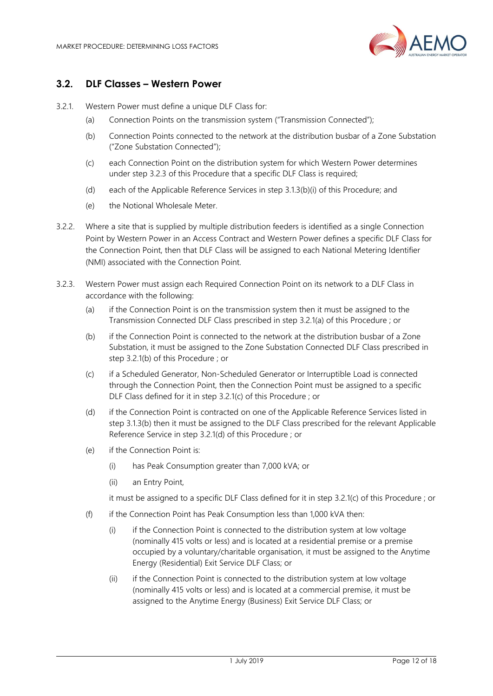

## 3.2. DLF Classes – Western Power

- 3.2.1. Western Power must define a unique DLF Class for:
	- (a) Connection Points on the transmission system ("Transmission Connected");
	- (b) Connection Points connected to the network at the distribution busbar of a Zone Substation ("Zone Substation Connected");
	- (c) each Connection Point on the distribution system for which Western Power determines under step 3.2.3 of this Procedure that a specific DLF Class is required;
	- (d) each of the Applicable Reference Services in step 3.1.3(b)(i) of this Procedure; and
	- (e) the Notional Wholesale Meter.
- 3.2.2. Where a site that is supplied by multiple distribution feeders is identified as a single Connection Point by Western Power in an Access Contract and Western Power defines a specific DLF Class for the Connection Point, then that DLF Class will be assigned to each National Metering Identifier (NMI) associated with the Connection Point.
- 3.2.3. Western Power must assign each Required Connection Point on its network to a DLF Class in accordance with the following:
	- (a) if the Connection Point is on the transmission system then it must be assigned to the Transmission Connected DLF Class prescribed in step 3.2.1(a) of this Procedure ; or
	- (b) if the Connection Point is connected to the network at the distribution busbar of a Zone Substation, it must be assigned to the Zone Substation Connected DLF Class prescribed in step 3.2.1(b) of this Procedure ; or
	- (c) if a Scheduled Generator, Non-Scheduled Generator or Interruptible Load is connected through the Connection Point, then the Connection Point must be assigned to a specific DLF Class defined for it in step 3.2.1(c) of this Procedure ; or
	- (d) if the Connection Point is contracted on one of the Applicable Reference Services listed in step 3.1.3(b) then it must be assigned to the DLF Class prescribed for the relevant Applicable Reference Service in step 3.2.1(d) of this Procedure ; or
	- (e) if the Connection Point is:
		- (i) has Peak Consumption greater than 7,000 kVA; or
		- (ii) an Entry Point,

it must be assigned to a specific DLF Class defined for it in step 3.2.1(c) of this Procedure ; or

- (f) if the Connection Point has Peak Consumption less than 1,000 kVA then:
	- (i) if the Connection Point is connected to the distribution system at low voltage (nominally 415 volts or less) and is located at a residential premise or a premise occupied by a voluntary/charitable organisation, it must be assigned to the Anytime Energy (Residential) Exit Service DLF Class; or
	- (ii) if the Connection Point is connected to the distribution system at low voltage (nominally 415 volts or less) and is located at a commercial premise, it must be assigned to the Anytime Energy (Business) Exit Service DLF Class; or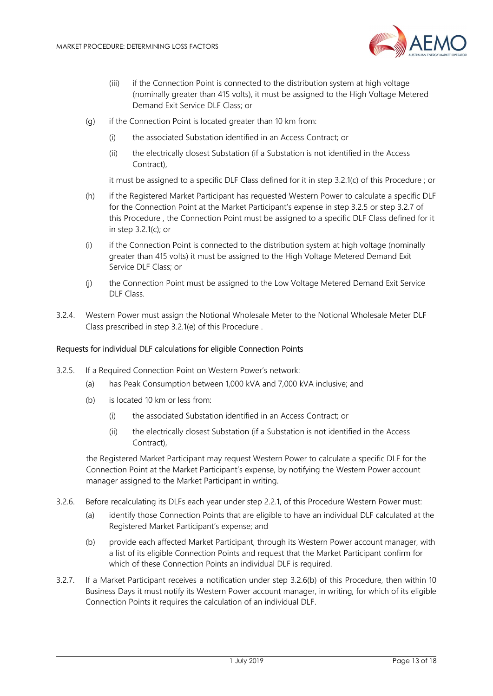

- (iii) if the Connection Point is connected to the distribution system at high voltage (nominally greater than 415 volts), it must be assigned to the High Voltage Metered Demand Exit Service DLF Class; or
- (g) if the Connection Point is located greater than 10 km from:
	- (i) the associated Substation identified in an Access Contract; or
	- (ii) the electrically closest Substation (if a Substation is not identified in the Access Contract),

it must be assigned to a specific DLF Class defined for it in step 3.2.1(c) of this Procedure ; or

- (h) if the Registered Market Participant has requested Western Power to calculate a specific DLF for the Connection Point at the Market Participant's expense in step 3.2.5 or step 3.2.7 of this Procedure , the Connection Point must be assigned to a specific DLF Class defined for it in step 3.2.1(c); or
- (i) if the Connection Point is connected to the distribution system at high voltage (nominally greater than 415 volts) it must be assigned to the High Voltage Metered Demand Exit Service DLF Class; or
- (j) the Connection Point must be assigned to the Low Voltage Metered Demand Exit Service DLF Class.
- 3.2.4. Western Power must assign the Notional Wholesale Meter to the Notional Wholesale Meter DLF Class prescribed in step 3.2.1(e) of this Procedure .

#### Requests for individual DLF calculations for eligible Connection Points

- 3.2.5. If a Required Connection Point on Western Power's network:
	- (a) has Peak Consumption between 1,000 kVA and 7,000 kVA inclusive; and
	- (b) is located 10 km or less from:
		- (i) the associated Substation identified in an Access Contract; or
		- (ii) the electrically closest Substation (if a Substation is not identified in the Access Contract),

the Registered Market Participant may request Western Power to calculate a specific DLF for the Connection Point at the Market Participant's expense, by notifying the Western Power account manager assigned to the Market Participant in writing.

- 3.2.6. Before recalculating its DLFs each year under step 2.2.1, of this Procedure Western Power must:
	- (a) identify those Connection Points that are eligible to have an individual DLF calculated at the Registered Market Participant's expense; and
	- (b) provide each affected Market Participant, through its Western Power account manager, with a list of its eligible Connection Points and request that the Market Participant confirm for which of these Connection Points an individual DLF is required.
- 3.2.7. If a Market Participant receives a notification under step 3.2.6(b) of this Procedure, then within 10 Business Days it must notify its Western Power account manager, in writing, for which of its eligible Connection Points it requires the calculation of an individual DLF.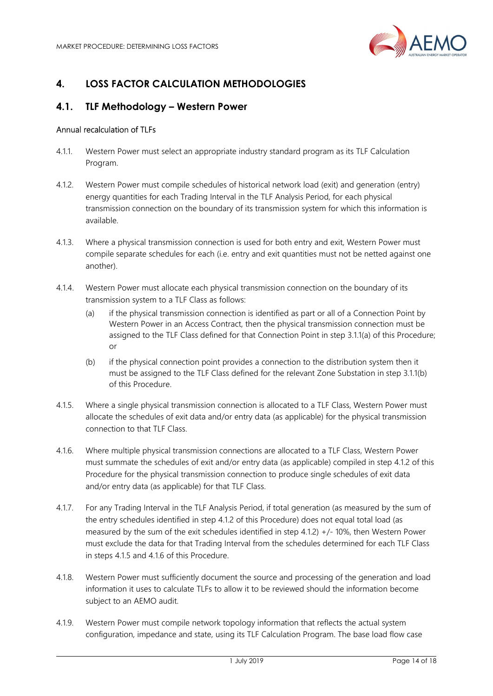

# 4. LOSS FACTOR CALCULATION METHODOLOGIES

# 4.1. TLF Methodology – Western Power

#### Annual recalculation of TLFs

- 4.1.1. Western Power must select an appropriate industry standard program as its TLF Calculation Program.
- 4.1.2. Western Power must compile schedules of historical network load (exit) and generation (entry) energy quantities for each Trading Interval in the TLF Analysis Period, for each physical transmission connection on the boundary of its transmission system for which this information is available.
- 4.1.3. Where a physical transmission connection is used for both entry and exit, Western Power must compile separate schedules for each (i.e. entry and exit quantities must not be netted against one another).
- 4.1.4. Western Power must allocate each physical transmission connection on the boundary of its transmission system to a TLF Class as follows:
	- (a) if the physical transmission connection is identified as part or all of a Connection Point by Western Power in an Access Contract, then the physical transmission connection must be assigned to the TLF Class defined for that Connection Point in step 3.1.1(a) of this Procedure; or
	- (b) if the physical connection point provides a connection to the distribution system then it must be assigned to the TLF Class defined for the relevant Zone Substation in step 3.1.1(b) of this Procedure.
- 4.1.5. Where a single physical transmission connection is allocated to a TLF Class, Western Power must allocate the schedules of exit data and/or entry data (as applicable) for the physical transmission connection to that TLF Class.
- 4.1.6. Where multiple physical transmission connections are allocated to a TLF Class, Western Power must summate the schedules of exit and/or entry data (as applicable) compiled in step 4.1.2 of this Procedure for the physical transmission connection to produce single schedules of exit data and/or entry data (as applicable) for that TLF Class.
- 4.1.7. For any Trading Interval in the TLF Analysis Period, if total generation (as measured by the sum of the entry schedules identified in step 4.1.2 of this Procedure) does not equal total load (as measured by the sum of the exit schedules identified in step 4.1.2) +/- 10%, then Western Power must exclude the data for that Trading Interval from the schedules determined for each TLF Class in steps 4.1.5 and 4.1.6 of this Procedure.
- 4.1.8. Western Power must sufficiently document the source and processing of the generation and load information it uses to calculate TLFs to allow it to be reviewed should the information become subject to an AEMO audit.
- 4.1.9. Western Power must compile network topology information that reflects the actual system configuration, impedance and state, using its TLF Calculation Program. The base load flow case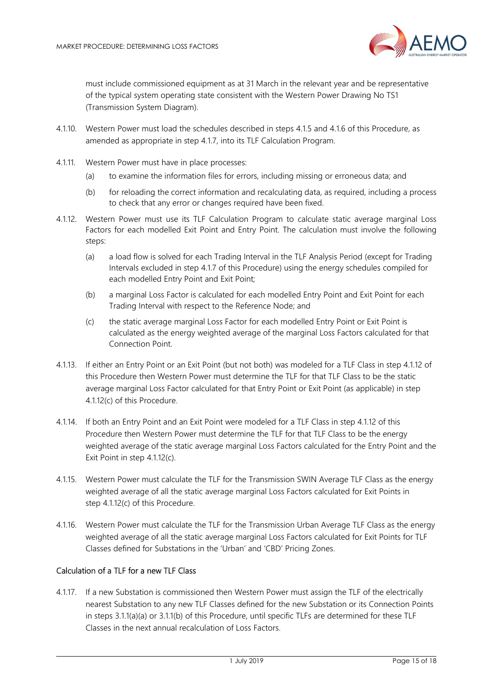

must include commissioned equipment as at 31 March in the relevant year and be representative of the typical system operating state consistent with the Western Power Drawing No TS1 (Transmission System Diagram).

- 4.1.10. Western Power must load the schedules described in steps 4.1.5 and 4.1.6 of this Procedure, as amended as appropriate in step 4.1.7, into its TLF Calculation Program.
- 4.1.11. Western Power must have in place processes:
	- (a) to examine the information files for errors, including missing or erroneous data; and
	- (b) for reloading the correct information and recalculating data, as required, including a process to check that any error or changes required have been fixed.
- 4.1.12. Western Power must use its TLF Calculation Program to calculate static average marginal Loss Factors for each modelled Exit Point and Entry Point. The calculation must involve the following steps:
	- (a) a load flow is solved for each Trading Interval in the TLF Analysis Period (except for Trading Intervals excluded in step 4.1.7 of this Procedure) using the energy schedules compiled for each modelled Entry Point and Exit Point;
	- (b) a marginal Loss Factor is calculated for each modelled Entry Point and Exit Point for each Trading Interval with respect to the Reference Node; and
	- (c) the static average marginal Loss Factor for each modelled Entry Point or Exit Point is calculated as the energy weighted average of the marginal Loss Factors calculated for that Connection Point.
- 4.1.13. If either an Entry Point or an Exit Point (but not both) was modeled for a TLF Class in step 4.1.12 of this Procedure then Western Power must determine the TLF for that TLF Class to be the static average marginal Loss Factor calculated for that Entry Point or Exit Point (as applicable) in step 4.1.12(c) of this Procedure.
- 4.1.14. If both an Entry Point and an Exit Point were modeled for a TLF Class in step 4.1.12 of this Procedure then Western Power must determine the TLF for that TLF Class to be the energy weighted average of the static average marginal Loss Factors calculated for the Entry Point and the Exit Point in step 4.1.12(c).
- 4.1.15. Western Power must calculate the TLF for the Transmission SWIN Average TLF Class as the energy weighted average of all the static average marginal Loss Factors calculated for Exit Points in step 4.1.12(c) of this Procedure.
- 4.1.16. Western Power must calculate the TLF for the Transmission Urban Average TLF Class as the energy weighted average of all the static average marginal Loss Factors calculated for Exit Points for TLF Classes defined for Substations in the 'Urban' and 'CBD' Pricing Zones.

#### Calculation of a TLF for a new TLF Class

4.1.17. If a new Substation is commissioned then Western Power must assign the TLF of the electrically nearest Substation to any new TLF Classes defined for the new Substation or its Connection Points in steps 3.1.1(a)(a) or 3.1.1(b) of this Procedure, until specific TLFs are determined for these TLF Classes in the next annual recalculation of Loss Factors.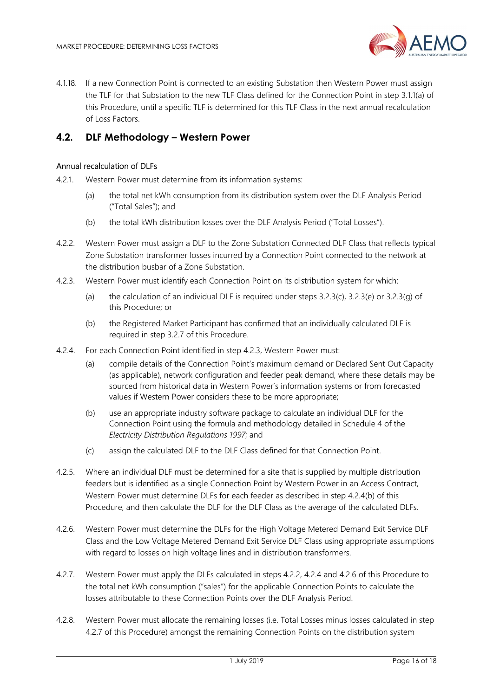

4.1.18. If a new Connection Point is connected to an existing Substation then Western Power must assign the TLF for that Substation to the new TLF Class defined for the Connection Point in step 3.1.1(a) of this Procedure, until a specific TLF is determined for this TLF Class in the next annual recalculation of Loss Factors.

# 4.2. DLF Methodology – Western Power

#### Annual recalculation of DLFs

- 4.2.1. Western Power must determine from its information systems:
	- (a) the total net kWh consumption from its distribution system over the DLF Analysis Period ("Total Sales"); and
	- (b) the total kWh distribution losses over the DLF Analysis Period ("Total Losses").
- 4.2.2. Western Power must assign a DLF to the Zone Substation Connected DLF Class that reflects typical Zone Substation transformer losses incurred by a Connection Point connected to the network at the distribution busbar of a Zone Substation.
- 4.2.3. Western Power must identify each Connection Point on its distribution system for which:
	- (a) the calculation of an individual DLF is required under steps  $3.2.3(c)$ ,  $3.2.3(e)$  or  $3.2.3(q)$  of this Procedure; or
	- (b) the Registered Market Participant has confirmed that an individually calculated DLF is required in step 3.2.7 of this Procedure.
- 4.2.4. For each Connection Point identified in step 4.2.3, Western Power must:
	- (a) compile details of the Connection Point's maximum demand or Declared Sent Out Capacity (as applicable), network configuration and feeder peak demand, where these details may be sourced from historical data in Western Power's information systems or from forecasted values if Western Power considers these to be more appropriate;
	- (b) use an appropriate industry software package to calculate an individual DLF for the Connection Point using the formula and methodology detailed in Schedule 4 of the Electricity Distribution Regulations 1997; and
	- (c) assign the calculated DLF to the DLF Class defined for that Connection Point.
- 4.2.5. Where an individual DLF must be determined for a site that is supplied by multiple distribution feeders but is identified as a single Connection Point by Western Power in an Access Contract, Western Power must determine DLFs for each feeder as described in step 4.2.4(b) of this Procedure, and then calculate the DLF for the DLF Class as the average of the calculated DLFs.
- 4.2.6. Western Power must determine the DLFs for the High Voltage Metered Demand Exit Service DLF Class and the Low Voltage Metered Demand Exit Service DLF Class using appropriate assumptions with regard to losses on high voltage lines and in distribution transformers.
- 4.2.7. Western Power must apply the DLFs calculated in steps 4.2.2, 4.2.4 and 4.2.6 of this Procedure to the total net kWh consumption ("sales") for the applicable Connection Points to calculate the losses attributable to these Connection Points over the DLF Analysis Period.
- 4.2.8. Western Power must allocate the remaining losses (i.e. Total Losses minus losses calculated in step 4.2.7 of this Procedure) amongst the remaining Connection Points on the distribution system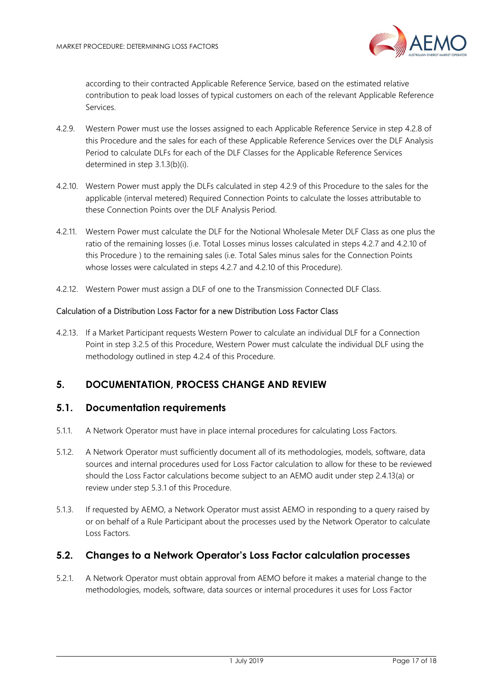

according to their contracted Applicable Reference Service, based on the estimated relative contribution to peak load losses of typical customers on each of the relevant Applicable Reference Services.

- 4.2.9. Western Power must use the losses assigned to each Applicable Reference Service in step 4.2.8 of this Procedure and the sales for each of these Applicable Reference Services over the DLF Analysis Period to calculate DLFs for each of the DLF Classes for the Applicable Reference Services determined in step 3.1.3(b)(i).
- 4.2.10. Western Power must apply the DLFs calculated in step 4.2.9 of this Procedure to the sales for the applicable (interval metered) Required Connection Points to calculate the losses attributable to these Connection Points over the DLF Analysis Period.
- 4.2.11. Western Power must calculate the DLF for the Notional Wholesale Meter DLF Class as one plus the ratio of the remaining losses (i.e. Total Losses minus losses calculated in steps 4.2.7 and 4.2.10 of this Procedure ) to the remaining sales (i.e. Total Sales minus sales for the Connection Points whose losses were calculated in steps 4.2.7 and 4.2.10 of this Procedure).
- 4.2.12. Western Power must assign a DLF of one to the Transmission Connected DLF Class.

#### Calculation of a Distribution Loss Factor for a new Distribution Loss Factor Class

4.2.13. If a Market Participant requests Western Power to calculate an individual DLF for a Connection Point in step 3.2.5 of this Procedure, Western Power must calculate the individual DLF using the methodology outlined in step 4.2.4 of this Procedure.

# 5. DOCUMENTATION, PROCESS CHANGE AND REVIEW

#### 5.1. Documentation requirements

- 5.1.1. A Network Operator must have in place internal procedures for calculating Loss Factors.
- 5.1.2. A Network Operator must sufficiently document all of its methodologies, models, software, data sources and internal procedures used for Loss Factor calculation to allow for these to be reviewed should the Loss Factor calculations become subject to an AEMO audit under step 2.4.13(a) or review under step 5.3.1 of this Procedure.
- 5.1.3. If requested by AEMO, a Network Operator must assist AEMO in responding to a query raised by or on behalf of a Rule Participant about the processes used by the Network Operator to calculate Loss Factors.

#### 5.2. Changes to a Network Operator's Loss Factor calculation processes

5.2.1. A Network Operator must obtain approval from AEMO before it makes a material change to the methodologies, models, software, data sources or internal procedures it uses for Loss Factor